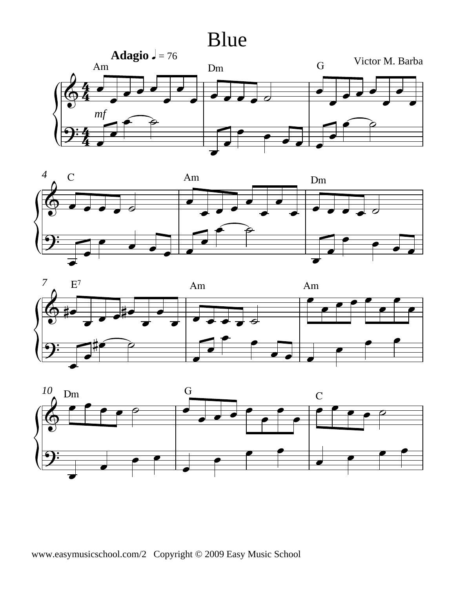## Blue